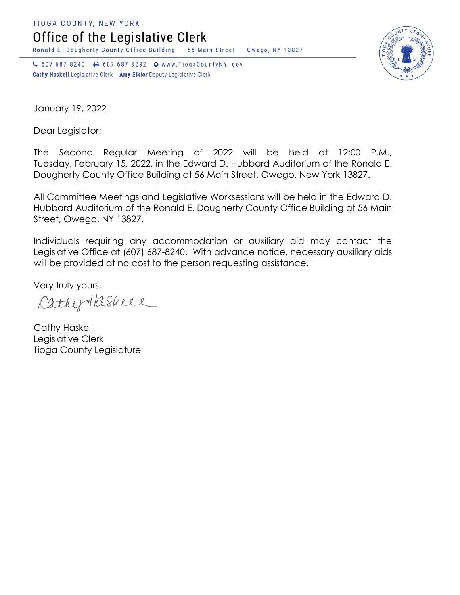TIOGA COUNTY, NEW YORK

Office of the Legislative Clerk

Ronald E. Dougherty County Office Building 56 Main Street Owego, NY 13827

↓ 607 687 8240 → 607 687 8232 → www.TiogaCountyNY.gov Cathy Haskell Legislative Clerk Amy Eiklor Deputy Legislative Clerk



January 19, 2022

Dear Legislator:

The Second Regular Meeting of 2022 will be held at 12:00 P.M., Tuesday, February 15, 2022, in the Edward D. Hubbard Auditorium of the Ronald E. Dougherty County Office Building at 56 Main Street, Owego, New York 13827.

All Committee Meetings and Legislative Worksessions will be held in the Edward D. Hubbard Auditorium of the Ronald E. Dougherty County Office Building at 56 Main Street, Owego, NY 13827.

Individuals requiring any accommodation or auxiliary aid may contact the Legislative Office at (607) 687-8240. With advance notice, necessary auxiliary aids will be provided at no cost to the person requesting assistance.

Very truly yours,

CathyHaskeel

Cathy Haskell Legislative Clerk Tioga County Legislature